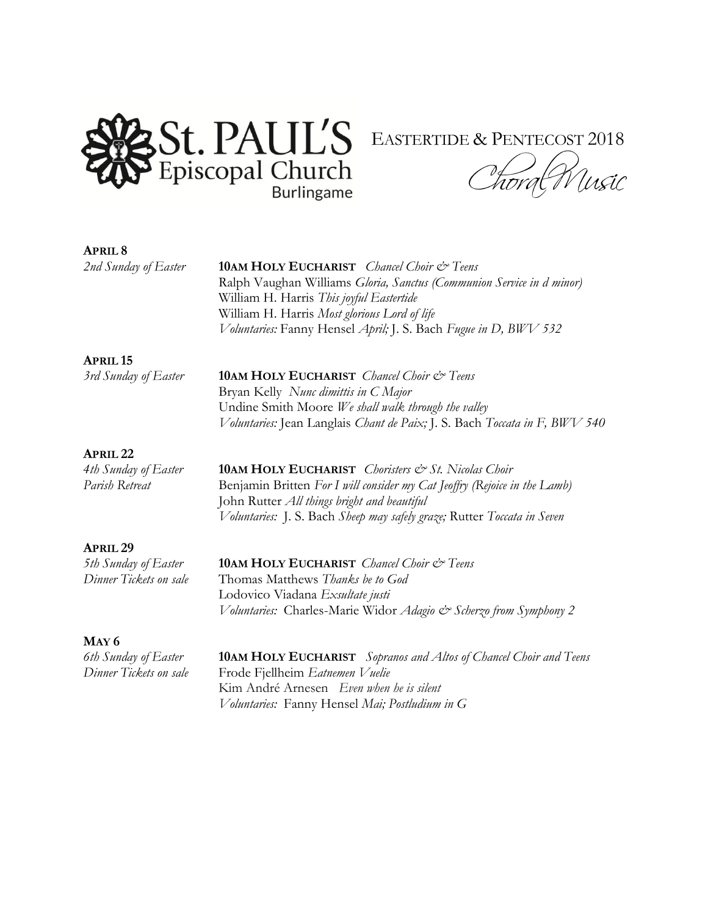

## **APRIL 8**

*2nd Sunday of Easter* **10AM HOLY EUCHARIST** *Chancel Choir & Teens* Ralph Vaughan Williams *Gloria, Sanctus (Communion Service in d minor)* William H. Harris *This joyful Eastertide* William H. Harris *Most glorious Lord of life Voluntaries:* Fanny Hensel *April;* J. S. Bach *Fugue in D, BWV 532*

### **APRIL 15**

*3rd Sunday of Easter* **10AM HOLY EUCHARIST** *Chancel Choir & Teens*  Bryan Kelly *Nunc dimittis in C Major* Undine Smith Moore *We shall walk through the valley Voluntaries:* Jean Langlais *Chant de Paix;* J. S. Bach *Toccata in F, BWV 540*

#### **APRIL 22**

*4th Sunday of Easter* **10AM HOLY EUCHARIST** *Choristers & St. Nicolas Choir Parish Retreat* **Benjamin Britten** *For I will consider my Cat Jeoffry**(Rejoice in the Lamb)* John Rutter *All things bright and beautiful Voluntaries:* J. S. Bach *Sheep may safely graze;* Rutter *Toccata in Seven*

#### **APRIL 29**

*5th Sunday of Easter* **10AM HOLY EUCHARIST** *Chancel Choir & Teens Dinner Tickets on sale* Thomas Matthews *Thanks be to God* Lodovico Viadana *Exsultate justi Voluntaries:* Charles-Marie Widor *Adagio & Scherzo from Symphony 2*

# **MAY 6**

*6th Sunday of Easter* **10AM HOLY EUCHARIST** *Sopranos and Altos of Chancel Choir and Teens Dinner Tickets on sale* Frode Fjellheim *Eatnemen Vuelie* Kim André Arnesen *Even when he is silent Voluntaries:* Fanny Hensel *Mai; Postludium in G*